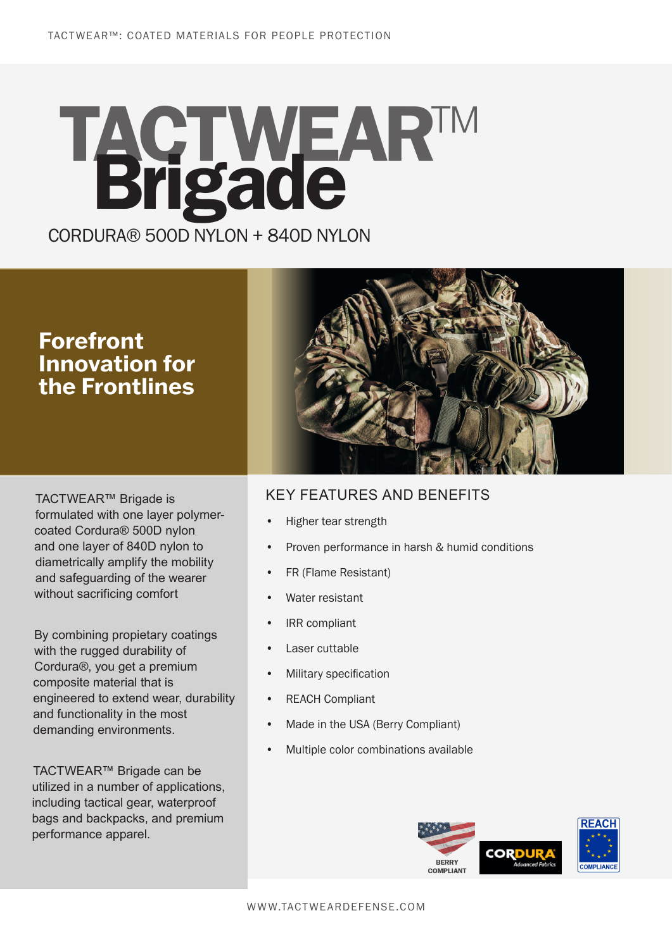## CORDURA® 500D NYLON + 840D NYLON **TACTWEAR™ Brigade**

### **Forefront Innovation for the Frontlines**

TACTWEAR™ Brigade is formulated with one layer polymercoated Cordura® 500D nylon and one layer of 840D nylon to diametrically amplify the mobility and safeguarding of the wearer without sacrificing comfort

By combining propietary coatings with the rugged durability of Cordura®, you get a premium composite material that is engineered to extend wear, durability and functionality in the most demanding environments.

TACTWEAR™ Brigade can be utilized in a number of applications, including tactical gear, waterproof bags and backpacks, and premium performance apparel.



#### KEY FEATURES AND BENEFITS

- Higher tear strength
- Proven performance in harsh & humid conditions
- FR (Flame Resistant)
- Water resistant
- IRR compliant
- Laser cuttable
- Military specification
- REACH Compliant
- Made in the USA (Berry Compliant)
- Multiple color combinations available

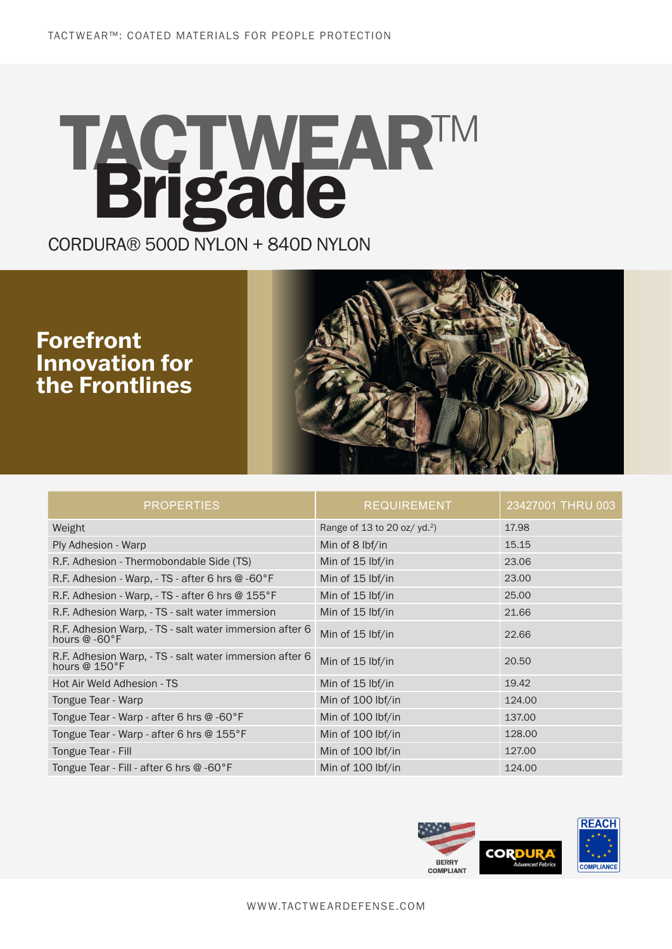# CORDURA® 500D NYLON + 840D NYLON **TACTWEAR™ Brigade**

### **Forefront Innovation for the Frontlines**



| <b>PROPERTIES</b>                                                                       | <b>REQUIREMENT</b>              | 23427001 THRU 003 |
|-----------------------------------------------------------------------------------------|---------------------------------|-------------------|
| Weight                                                                                  | Range of 13 to 20 oz/ $yd.^2$ ) | 17.98             |
| Ply Adhesion - Warp                                                                     | Min of 8 lbf/in                 | 15.15             |
| R.F. Adhesion - Thermobondable Side (TS)                                                | Min of 15 lbf/in                | 23.06             |
| R.F. Adhesion - Warp, - TS - after 6 hrs $@$ -60 $^{\circ}$ F                           | Min of 15 lbf/in                | 23.00             |
| R.F. Adhesion - Warp, - TS - after 6 hrs @ 155°F                                        | Min of 15 lbf/in                | 25.00             |
| R.F. Adhesion Warp, - TS - salt water immersion                                         | Min of 15 lbf/in                | 21.66             |
| R.F. Adhesion Warp, - TS - salt water immersion after 6<br>hours @ -60°F                | Min of 15 lbf/in                | 22.66             |
| R.F. Adhesion Warp, - TS - salt water immersion after 6<br>hours $@$ 150 ${}^{\circ}$ F | Min of 15 lbf/in                | 20.50             |
| Hot Air Weld Adhesion - TS                                                              | Min of 15 lbf/in                | 19.42             |
| Tongue Tear - Warp                                                                      | Min of 100 lbf/in               | 124.00            |
| Tongue Tear - Warp - after 6 hrs @ -60°F                                                | Min of 100 lbf/in               | 137.00            |
| Tongue Tear - Warp - after 6 hrs @ 155°F                                                | Min of 100 lbf/in               | 128.00            |
| Tongue Tear - Fill                                                                      | Min of 100 lbf/in               | 127.00            |
| Tongue Tear - Fill - after 6 hrs $@$ -60 $^{\circ}$ F                                   | Min of 100 lbf/in               | 124.00            |